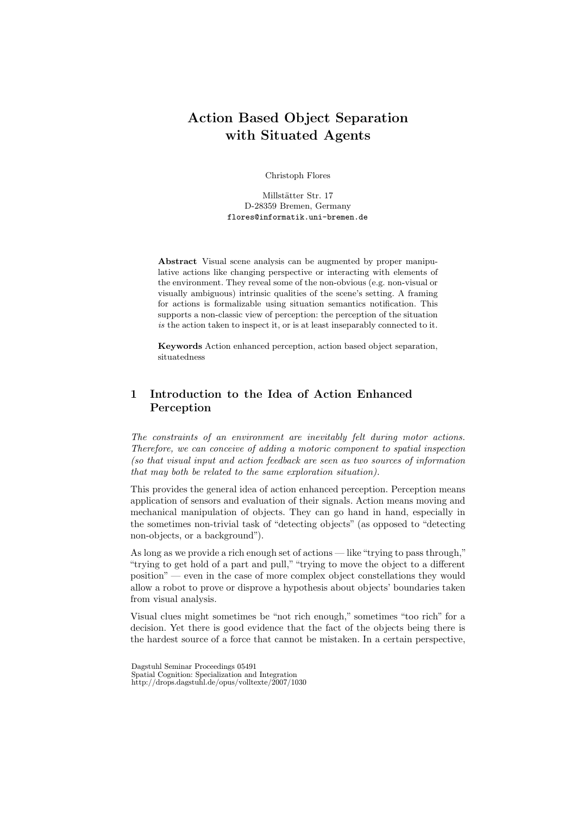# Action Based Object Separation with Situated Agents

Christoph Flores

Millstätter Str. 17 D-28359 Bremen, Germany flores@informatik.uni-bremen.de

Abstract Visual scene analysis can be augmented by proper manipulative actions like changing perspective or interacting with elements of the environment. They reveal some of the non-obvious (e.g. non-visual or visually ambiguous) intrinsic qualities of the scene's setting. A framing for actions is formalizable using situation semantics notification. This supports a non-classic view of perception: the perception of the situation is the action taken to inspect it, or is at least inseparably connected to it.

Keywords Action enhanced perception, action based object separation, situatedness

# 1 Introduction to the Idea of Action Enhanced Perception

The constraints of an environment are inevitably felt during motor actions. Therefore, we can conceive of adding a motoric component to spatial inspection (so that visual input and action feedback are seen as two sources of information that may both be related to the same exploration situation).

This provides the general idea of action enhanced perception. Perception means application of sensors and evaluation of their signals. Action means moving and mechanical manipulation of objects. They can go hand in hand, especially in the sometimes non-trivial task of "detecting objects" (as opposed to "detecting non-objects, or a background").

As long as we provide a rich enough set of actions — like "trying to pass through," "trying to get hold of a part and pull,""trying to move the object to a different position" — even in the case of more complex object constellations they would allow a robot to prove or disprove a hypothesis about objects' boundaries taken from visual analysis.

Visual clues might sometimes be "not rich enough," sometimes "too rich" for a decision. Yet there is good evidence that the fact of the objects being there is the hardest source of a force that cannot be mistaken. In a certain perspective,

Dagstuhl Seminar Proceedings 05491 Spatial Cognition: Specialization and Integration http://drops.dagstuhl.de/opus/volltexte/2007/1030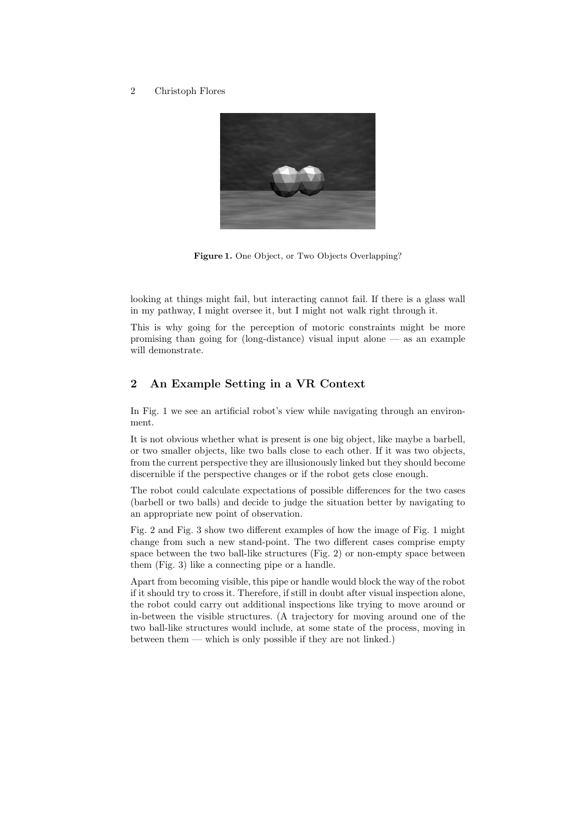

Figure 1. One Object, or Two Objects Overlapping?

looking at things might fail, but interacting cannot fail. If there is a glass wall in my pathway, I might oversee it, but I might not walk right through it.

This is why going for the perception of motoric constraints might be more promising than going for  $(long-distance)$  visual input alone  $\sim$  as an example will demonstrate.

### 2 An Example Setting in a VR Context

In Fig. 1 we see an artificial robot's view while navigating through an environment.

It is not obvious whether what is present is one big object, like maybe a barbell, or two smaller objects, like two balls close to each other. If it was two objects, from the current perspective they are illusionously linked but they should become discernible if the perspective changes or if the robot gets close enough.

The robot could calculate expectations of possible differences for the two cases (barbell or two balls) and decide to judge the situation better by navigating to an appropriate new point of observation.

Fig. 2 and Fig. 3 show two different examples of how the image of Fig. 1 might change from such a new stand-point. The two different cases comprise empty space between the two ball-like structures (Fig. 2) or non-empty space between them (Fig. 3) like a connecting pipe or a handle.

Apart from becoming visible, this pipe or handle would block the way of the robot if it should try to cross it. Therefore, if still in doubt after visual inspection alone, the robot could carry out additional inspections like trying to move around or in-between the visible structures. (A trajectory for moving around one of the two ball-like structures would include, at some state of the process, moving in between them — which is only possible if they are not linked.)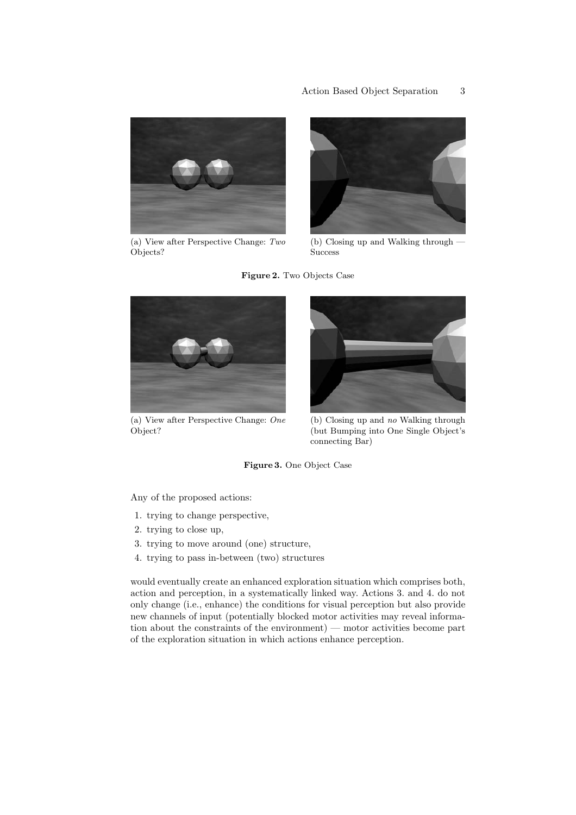

(a) View after Perspective Change: Two Objects?



(b) Closing up and Walking through — **Success** 





(a) View after Perspective Change: One Object?



(b) Closing up and no Walking through (but Bumping into One Single Object's connecting Bar)

Figure 3. One Object Case

Any of the proposed actions:

- 1. trying to change perspective,
- 2. trying to close up,
- 3. trying to move around (one) structure,
- 4. trying to pass in-between (two) structures

would eventually create an enhanced exploration situation which comprises both, action and perception, in a systematically linked way. Actions 3. and 4. do not only change (i.e., enhance) the conditions for visual perception but also provide new channels of input (potentially blocked motor activities may reveal information about the constraints of the environment) — motor activities become part of the exploration situation in which actions enhance perception.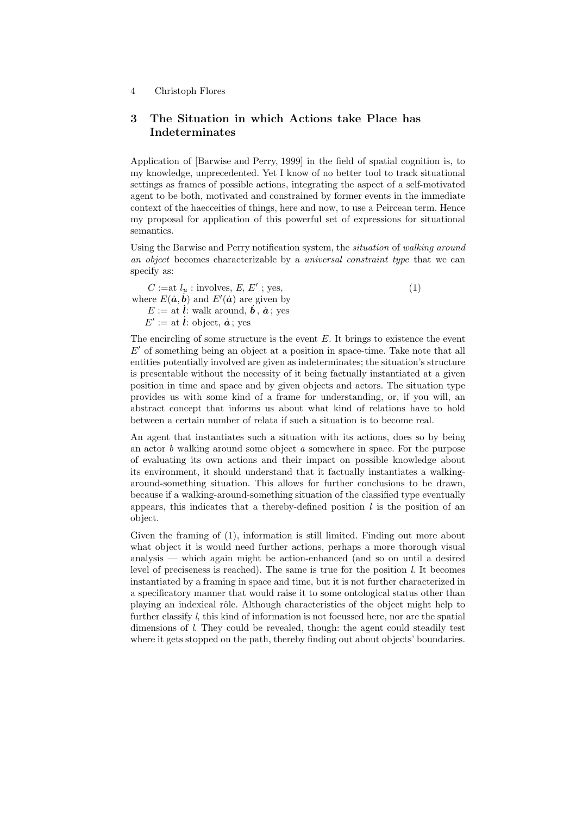## 3 The Situation in which Actions take Place has Indeterminates

Application of [Barwise and Perry, 1999] in the field of spatial cognition is, to my knowledge, unprecedented. Yet I know of no better tool to track situational settings as frames of possible actions, integrating the aspect of a self-motivated agent to be both, motivated and constrained by former events in the immediate context of the haecceities of things, here and now, to use a Peircean term. Hence my proposal for application of this powerful set of expressions for situational semantics.

Using the Barwise and Perry notification system, the situation of walking around an object becomes characterizable by a universal constraint type that we can specify as:

 $C :=$ at  $l_u$ : involves,  $E, E'$ ; yes, where  $E(\dot{a}, \dot{b})$  and  $E'(\dot{a})$  are given by  $E := \text{at } \dot{l}$ : walk around,  $\dot{b}$ ,  $\dot{a}$ ; yes  $E' := \text{at } \dot{l}: \text{object}, \dot{a}; \text{yes}$ (1)

The encircling of some structure is the event  $E$ . It brings to existence the event  $E'$  of something being an object at a position in space-time. Take note that all entities potentially involved are given as indeterminates; the situation's structure is presentable without the necessity of it being factually instantiated at a given position in time and space and by given objects and actors. The situation type provides us with some kind of a frame for understanding, or, if you will, an abstract concept that informs us about what kind of relations have to hold between a certain number of relata if such a situation is to become real.

An agent that instantiates such a situation with its actions, does so by being an actor  $b$  walking around some object  $a$  somewhere in space. For the purpose of evaluating its own actions and their impact on possible knowledge about its environment, it should understand that it factually instantiates a walkingaround-something situation. This allows for further conclusions to be drawn, because if a walking-around-something situation of the classified type eventually appears, this indicates that a thereby-defined position  $l$  is the position of an object.

Given the framing of (1), information is still limited. Finding out more about what object it is would need further actions, perhaps a more thorough visual analysis — which again might be action-enhanced (and so on until a desired level of preciseness is reached). The same is true for the position l. It becomes instantiated by a framing in space and time, but it is not further characterized in a specificatory manner that would raise it to some ontological status other than playing an indexical rôle. Although characteristics of the object might help to further classify l, this kind of information is not focussed here, nor are the spatial dimensions of l. They could be revealed, though: the agent could steadily test where it gets stopped on the path, thereby finding out about objects' boundaries.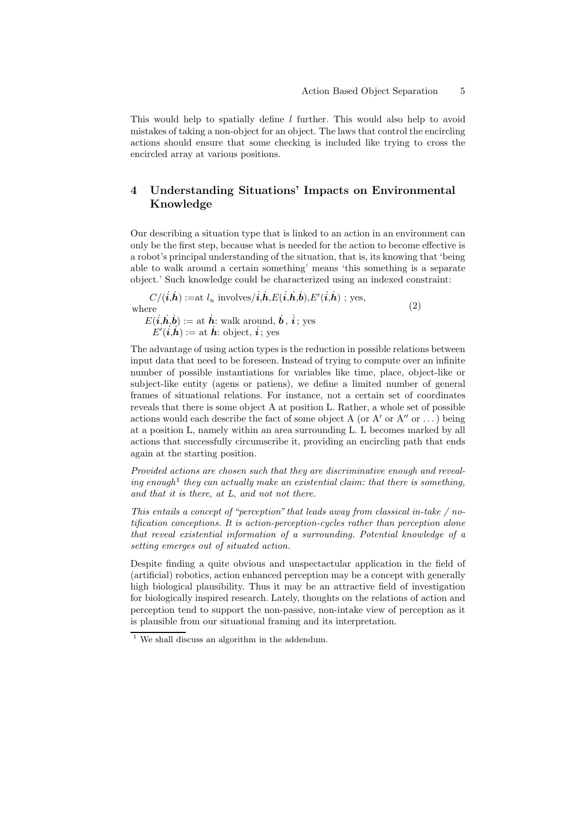This would help to spatially define  $l$  further. This would also help to avoid mistakes of taking a non-object for an object. The laws that control the encircling actions should ensure that some checking is included like trying to cross the encircled array at various positions.

## 4 Understanding Situations' Impacts on Environmental Knowledge

Our describing a situation type that is linked to an action in an environment can only be the first step, because what is needed for the action to become effective is a robot's principal understanding of the situation, that is, its knowing that 'being able to walk around a certain something' means 'this something is a separate object.' Such knowledge could be characterized using an indexed constraint:

$$
C/(i, \dot{h}) := \text{at } l_u \text{ involves}/i, \dot{h}, E(i, \dot{h}, \dot{b}), E'(i, \dot{h}) \text{ ; yes,}
$$
  
where  

$$
E(i, \dot{h}, \dot{b}) := \text{at } \dot{h} \text{: walk around, } \dot{b}, \dot{i} \text{ ; yes}
$$

$$
E'(i, \dot{h}) := \text{at } \dot{h} \text{ : object, } \dot{i} \text{ ; yes}
$$

$$
(2)
$$

The advantage of using action types is the reduction in possible relations between input data that need to be foreseen. Instead of trying to compute over an infinite number of possible instantiations for variables like time, place, object-like or subject-like entity (agens or patiens), we define a limited number of general frames of situational relations. For instance, not a certain set of coordinates reveals that there is some object A at position L. Rather, a whole set of possible actions would each describe the fact of some object A (or  $A'$  or  $A''$  or  $\dots$  ) being at a position L, namely within an area surrounding L. L becomes marked by all actions that successfully circumscribe it, providing an encircling path that ends again at the starting position.

Provided actions are chosen such that they are discriminative enough and revealing enough<sup>1</sup> they can actually make an existential claim: that there is something, and that it is there, at L, and not not there.

This entails a concept of "perception" that leads away from classical in-take  $/$  notification conceptions. It is action-perception-cycles rather than perception alone that reveal existential information of a surrounding. Potential knowledge of a setting emerges out of situated action.

Despite finding a quite obvious and unspectactular application in the field of (artificial) robotics, action enhanced perception may be a concept with generally high biological plausibility. Thus it may be an attractive field of investigation for biologically inspired research. Lately, thoughts on the relations of action and perception tend to support the non-passive, non-intake view of perception as it is plausible from our situational framing and its interpretation.

 $1$  We shall discuss an algorithm in the addendum.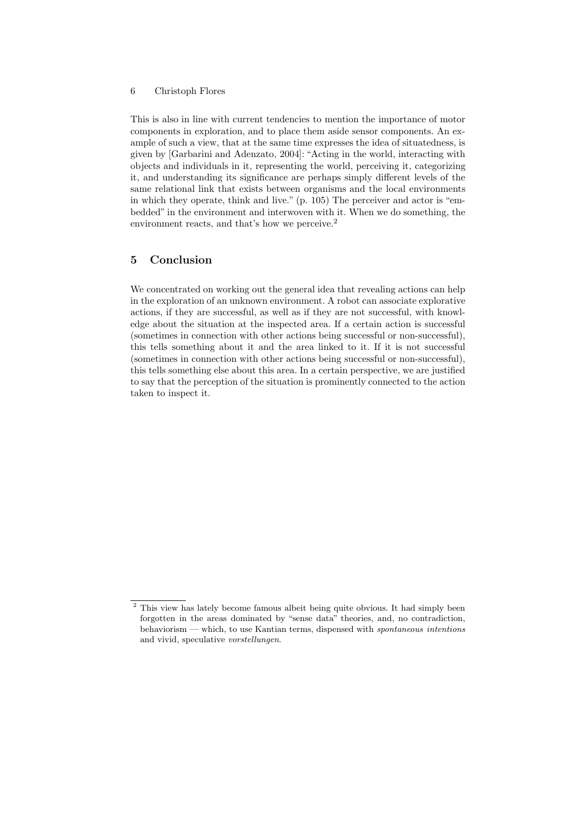This is also in line with current tendencies to mention the importance of motor components in exploration, and to place them aside sensor components. An example of such a view, that at the same time expresses the idea of situatedness, is given by [Garbarini and Adenzato, 2004]: "Acting in the world, interacting with objects and individuals in it, representing the world, perceiving it, categorizing it, and understanding its significance are perhaps simply different levels of the same relational link that exists between organisms and the local environments in which they operate, think and live." (p. 105) The perceiver and actor is "embedded" in the environment and interwoven with it. When we do something, the environment reacts, and that's how we perceive.<sup>2</sup>

### 5 Conclusion

We concentrated on working out the general idea that revealing actions can help in the exploration of an unknown environment. A robot can associate explorative actions, if they are successful, as well as if they are not successful, with knowledge about the situation at the inspected area. If a certain action is successful (sometimes in connection with other actions being successful or non-successful), this tells something about it and the area linked to it. If it is not successful (sometimes in connection with other actions being successful or non-successful), this tells something else about this area. In a certain perspective, we are justified to say that the perception of the situation is prominently connected to the action taken to inspect it.

 $2$  This view has lately become famous albeit being quite obvious. It had simply been forgotten in the areas dominated by "sense data" theories, and, no contradiction, behaviorism — which, to use Kantian terms, dispensed with spontaneous intentions and vivid, speculative vorstellungen.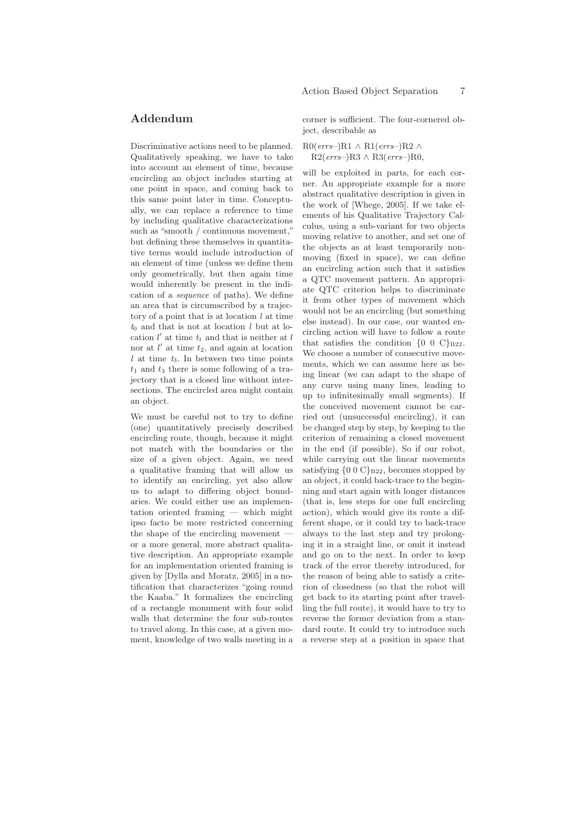## Addendum

Discriminative actions need to be planned. Qualitatively speaking, we have to take into account an element of time, because encircling an object includes starting at one point in space, and coming back to this same point later in time. Conceptually, we can replace a reference to time by including qualitative characterizations such as "smooth / continuous movement," but defining these themselves in quantitative terms would include introduction of an element of time (unless we define them only geometrically, but then again time would inherently be present in the indication of a sequence of paths). We define an area that is circumscribed by a trajectory of a point that is at location  $l$  at time  $t_0$  and that is not at location l but at location  $l'$  at time  $t_1$  and that is neither at  $l$ nor at  $l'$  at time  $t_2$ , and again at location  $l$  at time  $t_3$ . In between two time points  $t_1$  and  $t_3$  there is some following of a trajectory that is a closed line without intersections. The encircled area might contain an object.

We must be careful not to try to define (one) quantitatively precisely described encircling route, though, because it might not match with the boundaries or the size of a given object. Again, we need a qualitative framing that will allow us to identify an encircling, yet also allow us to adapt to differing object boundaries. We could either use an implementation oriented framing — which might ipso facto be more restricted concerning the shape of the encircling movement or a more general, more abstract qualitative description. An appropriate example for an implementation oriented framing is given by [Dylla and Moratz, 2005] in a notification that characterizes "going round the Kaaba." It formalizes the encircling of a rectangle monument with four solid walls that determine the four sub-routes to travel along. In this case, at a given moment, knowledge of two walls meeting in a corner is sufficient. The four-cornered object, describable as

 $R0(errs-)R1 \wedge R1(errs-)R2 \wedge$  $R2(errs-)R3 \wedge R3(errs-)R0$ 

will be exploited in parts, for each corner. An appropriate example for a more abstract qualitative description is given in the work of [Whege, 2005]. If we take elements of his Qualitative Trajectory Calculus, using a sub-variant for two objects moving relative to another, and set one of the objects as at least temporarily nonmoving (fixed in space), we can define an encircling action such that it satisfies a QTC movement pattern. An appropriate QTC criterion helps to discriminate it from other types of movement which would not be an encircling (but something else instead). In our case, our wanted encircling action will have to follow a route that satisfies the condition  $\{0\ 0\ \text{C}\}_{B22}$ . We choose a number of consecutive movements, which we can assume here as being linear (we can adapt to the shape of any curve using many lines, leading to up to infinitesimally small segments). If the conceived movement cannot be carried out (unsuccessful encircling), it can be changed step by step, by keeping to the criterion of remaining a closed movement in the end (if possible). So if our robot, while carrying out the linear movements satisfying  ${0 \ 0 \ C}$ <sub>B22</sub>, becomes stopped by an object, it could back-trace to the beginning and start again with longer distances (that is, less steps for one full encircling action), which would give its route a different shape, or it could try to back-trace always to the last step and try prolonging it in a straight line, or omit it instead and go on to the next. In order to keep track of the error thereby introduced, for the reason of being able to satisfy a criterion of closedness (so that the robot will get back to its starting point after travelling the full route), it would have to try to reverse the former deviation from a standard route. It could try to introduce such a reverse step at a position in space that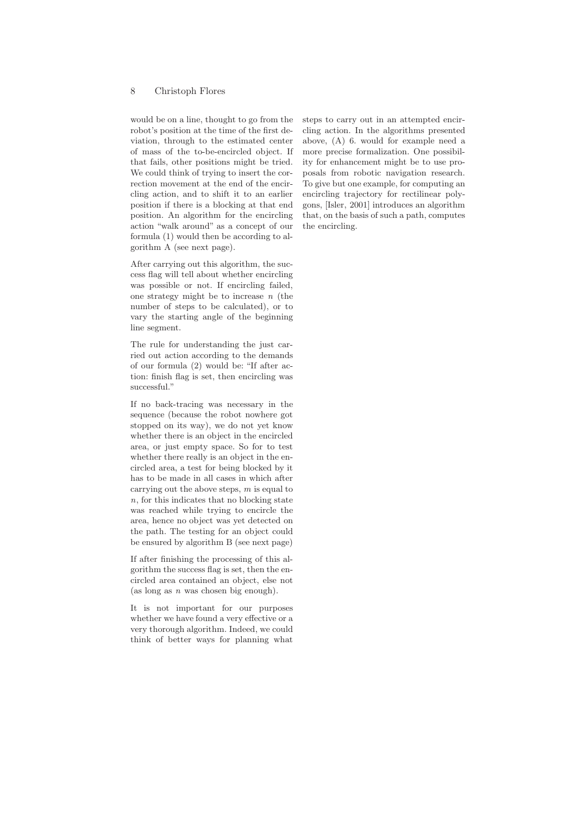would be on a line, thought to go from the robot's position at the time of the first deviation, through to the estimated center of mass of the to-be-encircled object. If that fails, other positions might be tried. We could think of trying to insert the correction movement at the end of the encircling action, and to shift it to an earlier position if there is a blocking at that end position. An algorithm for the encircling action "walk around" as a concept of our formula (1) would then be according to algorithm A (see next page).

After carrying out this algorithm, the success flag will tell about whether encircling was possible or not. If encircling failed, one strategy might be to increase  $n$  (the number of steps to be calculated), or to vary the starting angle of the beginning line segment.

The rule for understanding the just carried out action according to the demands of our formula (2) would be: "If after action: finish flag is set, then encircling was successful."

If no back-tracing was necessary in the sequence (because the robot nowhere got stopped on its way), we do not yet know whether there is an object in the encircled area, or just empty space. So for to test whether there really is an object in the encircled area, a test for being blocked by it has to be made in all cases in which after carrying out the above steps,  $m$  is equal to  $n$ , for this indicates that no blocking state was reached while trying to encircle the area, hence no object was yet detected on the path. The testing for an object could be ensured by algorithm B (see next page)

If after finishing the processing of this algorithm the success flag is set, then the encircled area contained an object, else not (as long as  $n$  was chosen big enough).

It is not important for our purposes whether we have found a very effective or a very thorough algorithm. Indeed, we could think of better ways for planning what steps to carry out in an attempted encircling action. In the algorithms presented above, (A) 6. would for example need a more precise formalization. One possibility for enhancement might be to use proposals from robotic navigation research. To give but one example, for computing an encircling trajectory for rectilinear polygons, [Isler, 2001] introduces an algorithm that, on the basis of such a path, computes the encircling.